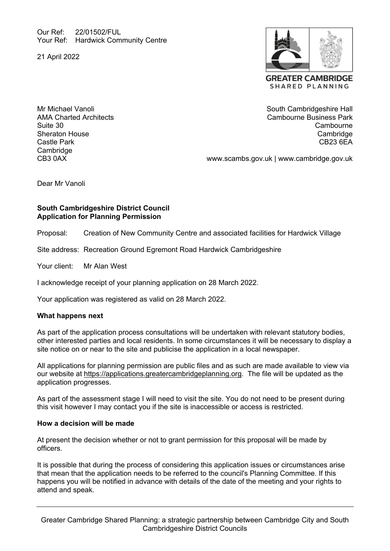Our Ref: 22/01502/FUL Your Ref: Hardwick Community Centre

21 April 2022



Mr Michael Vanoli AMA Charted Architects Suite 30 Sheraton House Castle Park **Cambridge** CB3 0AX

South Cambridgeshire Hall Cambourne Business Park **Cambourne Cambridge** CB23 6EA

www.scambs.gov.uk | www.cambridge.gov.uk

Dear Mr Vanoli

# **South Cambridgeshire District Council Application for Planning Permission**

Proposal: Creation of New Community Centre and associated facilities for Hardwick Village

Site address: Recreation Ground Egremont Road Hardwick Cambridgeshire

Your client: Mr Alan West

I acknowledge receipt of your planning application on 28 March 2022.

Your application was registered as valid on 28 March 2022.

### **What happens next**

As part of the application process consultations will be undertaken with relevant statutory bodies, other interested parties and local residents. In some circumstances it will be necessary to display a site notice on or near to the site and publicise the application in a local newspaper.

All applications for planning permission are public files and as such are made available to view via our website at https://applications.greatercambridgeplanning.org. The file will be updated as the application progresses.

As part of the assessment stage I will need to visit the site. You do not need to be present during this visit however I may contact you if the site is inaccessible or access is restricted.

### **How a decision will be made**

At present the decision whether or not to grant permission for this proposal will be made by officers.

It is possible that during the process of considering this application issues or circumstances arise that mean that the application needs to be referred to the council's Planning Committee. If this happens you will be notified in advance with details of the date of the meeting and your rights to attend and speak.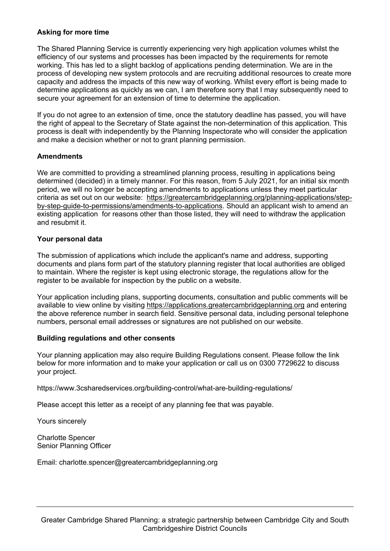### **Asking for more time**

The Shared Planning Service is currently experiencing very high application volumes whilst the efficiency of our systems and processes has been impacted by the requirements for remote working. This has led to a slight backlog of applications pending determination. We are in the process of developing new system protocols and are recruiting additional resources to create more capacity and address the impacts of this new way of working. Whilst every effort is being made to determine applications as quickly as we can, I am therefore sorry that I may subsequently need to secure your agreement for an extension of time to determine the application.

If you do not agree to an extension of time, once the statutory deadline has passed, you will have the right of appeal to the Secretary of State against the non-determination of this application. This process is dealt with independently by the Planning Inspectorate who will consider the application and make a decision whether or not to grant planning permission.

# **Amendments**

We are committed to providing a streamlined planning process, resulting in applications being determined (decided) in a timely manner. For this reason, from 5 July 2021, for an initial six month period, we will no longer be accepting amendments to applications unless they meet particular criteria as set out on our website: https://greatercambridgeplanning.org/planning-applications/stepby-step-guide-to-permissions/amendments-to-applications. Should an applicant wish to amend an existing application for reasons other than those listed, they will need to withdraw the application and resubmit it.

### **Your personal data**

The submission of applications which include the applicant's name and address, supporting documents and plans form part of the statutory planning register that local authorities are obliged to maintain. Where the register is kept using electronic storage, the regulations allow for the register to be available for inspection by the public on a website.

Your application including plans, supporting documents, consultation and public comments will be available to view online by visiting https://applications.greatercambridgeplanning.org and entering the above reference number in search field. Sensitive personal data, including personal telephone numbers, personal email addresses or signatures are not published on our website.

### **Building regulations and other consents**

Your planning application may also require Building Regulations consent. Please follow the link below for more information and to make your application or call us on 0300 7729622 to discuss your project.

https://www.3csharedservices.org/building-control/what-are-building-regulations/

Please accept this letter as a receipt of any planning fee that was payable.

Yours sincerely

Charlotte Spencer Senior Planning Officer

Email: charlotte.spencer@greatercambridgeplanning.org